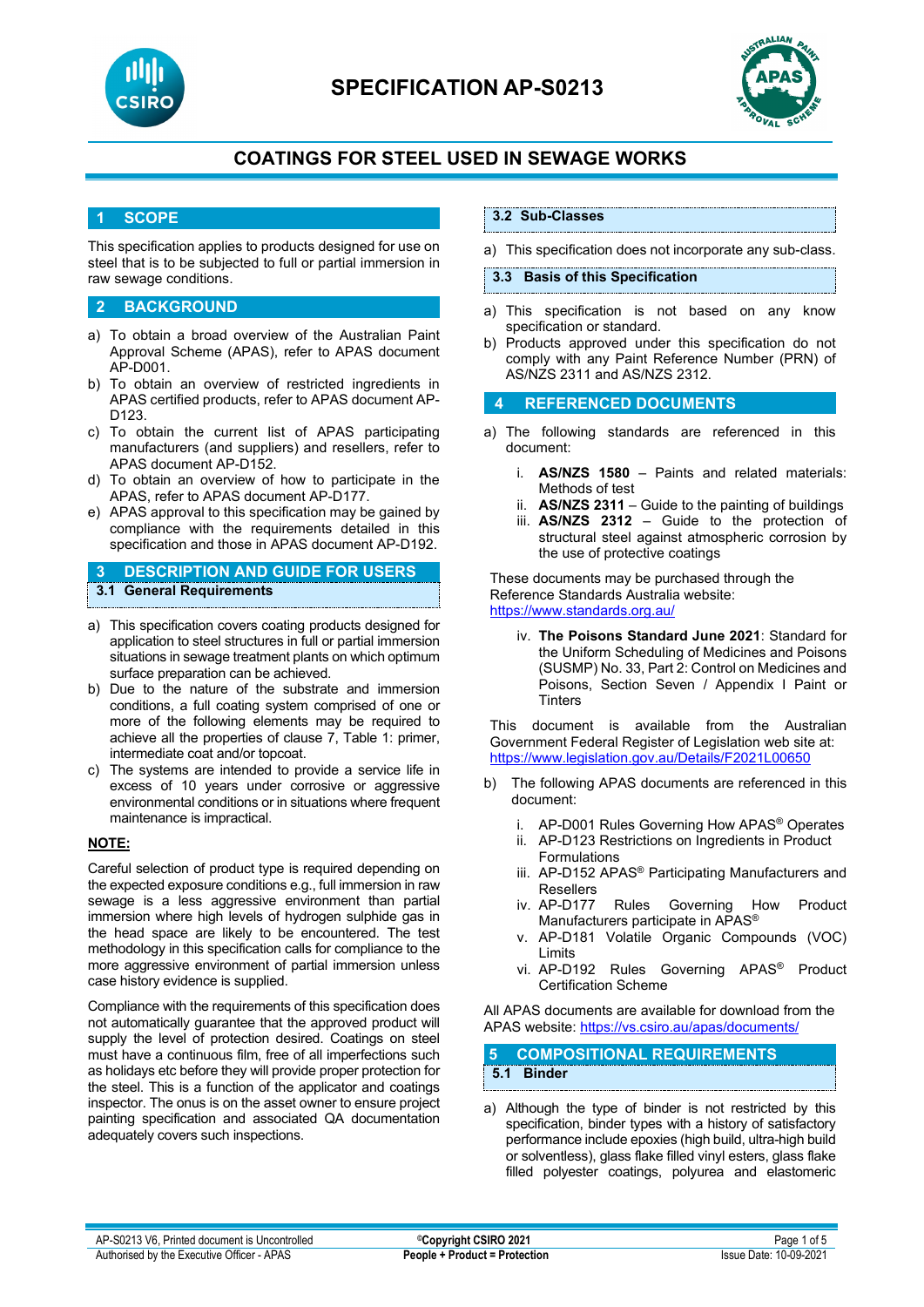

# **SPECIFICATION AP-S0213**



# **COATINGS FOR STEEL USED IN SEWAGE WORKS**

### **1 SCOPE**

This specification applies to products designed for use on steel that is to be subjected to full or partial immersion in raw sewage conditions.

### **2 BACKGROUND**

- a) To obtain a broad overview of the Australian Paint Approval Scheme (APAS), refer to APAS document AP-D001.
- b) To obtain an overview of restricted ingredients in APAS certified products, refer to APAS document AP-D123.
- c) To obtain the current list of APAS participating manufacturers (and suppliers) and resellers, refer to APAS document AP-D152.
- d) To obtain an overview of how to participate in the APAS, refer to APAS document AP-D177.
- e) APAS approval to this specification may be gained by compliance with the requirements detailed in this specification and those in APAS document AP-D192.

**3 DESCRIPTION AND GUIDE FOR USERS 3.1 General Requirements**

- a) This specification covers coating products designed for application to steel structures in full or partial immersion situations in sewage treatment plants on which optimum surface preparation can be achieved.
- b) Due to the nature of the substrate and immersion conditions, a full coating system comprised of one or more of the following elements may be required to achieve all the properties of clause 7, Table 1: primer, intermediate coat and/or topcoat.
- c) The systems are intended to provide a service life in excess of 10 years under corrosive or aggressive environmental conditions or in situations where frequent maintenance is impractical.

#### **NOTE:**

Careful selection of product type is required depending on the expected exposure conditions e.g., full immersion in raw sewage is a less aggressive environment than partial immersion where high levels of hydrogen sulphide gas in the head space are likely to be encountered. The test methodology in this specification calls for compliance to the more aggressive environment of partial immersion unless case history evidence is supplied.

Compliance with the requirements of this specification does not automatically guarantee that the approved product will supply the level of protection desired. Coatings on steel must have a continuous film, free of all imperfections such as holidays etc before they will provide proper protection for the steel. This is a function of the applicator and coatings inspector. The onus is on the asset owner to ensure project painting specification and associated QA documentation adequately covers such inspections.

## **3.2 Sub-Classes**

a) This specification does not incorporate any sub-class.

#### **3.3 Basis of this Specification**

- a) This specification is not based on any know specification or standard.
- b) Products approved under this specification do not comply with any Paint Reference Number (PRN) of AS/NZS 2311 and AS/NZS 2312.

### **4 REFERENCED DOCUMENTS**

- a) The following standards are referenced in this document:
	- i. **AS/NZS 1580** Paints and related materials: Methods of test
	- ii. **AS/NZS 2311**  Guide to the painting of buildings
	- iii. **AS/NZS 2312**  Guide to the protection of structural steel against atmospheric corrosion by the use of protective coatings

These documents may be purchased through the Reference Standards Australia website: <https://www.standards.org.au/>

iv. **The Poisons Standard June 2021**: Standard for the Uniform Scheduling of Medicines and Poisons (SUSMP) No. 33, Part 2: Control on Medicines and Poisons, Section Seven / Appendix I Paint or **Tinters** 

This document is available from the Australian Government Federal Register of Legislation web site at: <https://www.legislation.gov.au/Details/F2021L00650>

- b) The following APAS documents are referenced in this document:
	- i. AP-D001 Rules Governing How APAS® Operates
	- ii. AP-D123 Restrictions on Ingredients in Product Formulations
	- iii. AP-D152 APAS<sup>®</sup> Participating Manufacturers and Resellers<br>iv. AP-D177
	- Rules Governing How Product Manufacturers participate in APAS<sup>®</sup>
	- v. AP-D181 Volatile Organic Compounds (VOC) Limits
	- vi. AP-D192 Rules Governing APAS® Product Certification Scheme

All APAS documents are available for download from the APAS website: <https://vs.csiro.au/apas/documents/>

## **5 COMPOSITIONAL REQUIREMENTS 5.1 Binder**

a) Although the type of binder is not restricted by this specification, binder types with a history of satisfactory performance include epoxies (high build, ultra-high build or solventless), glass flake filled vinyl esters, glass flake filled polyester coatings, polyurea and elastomeric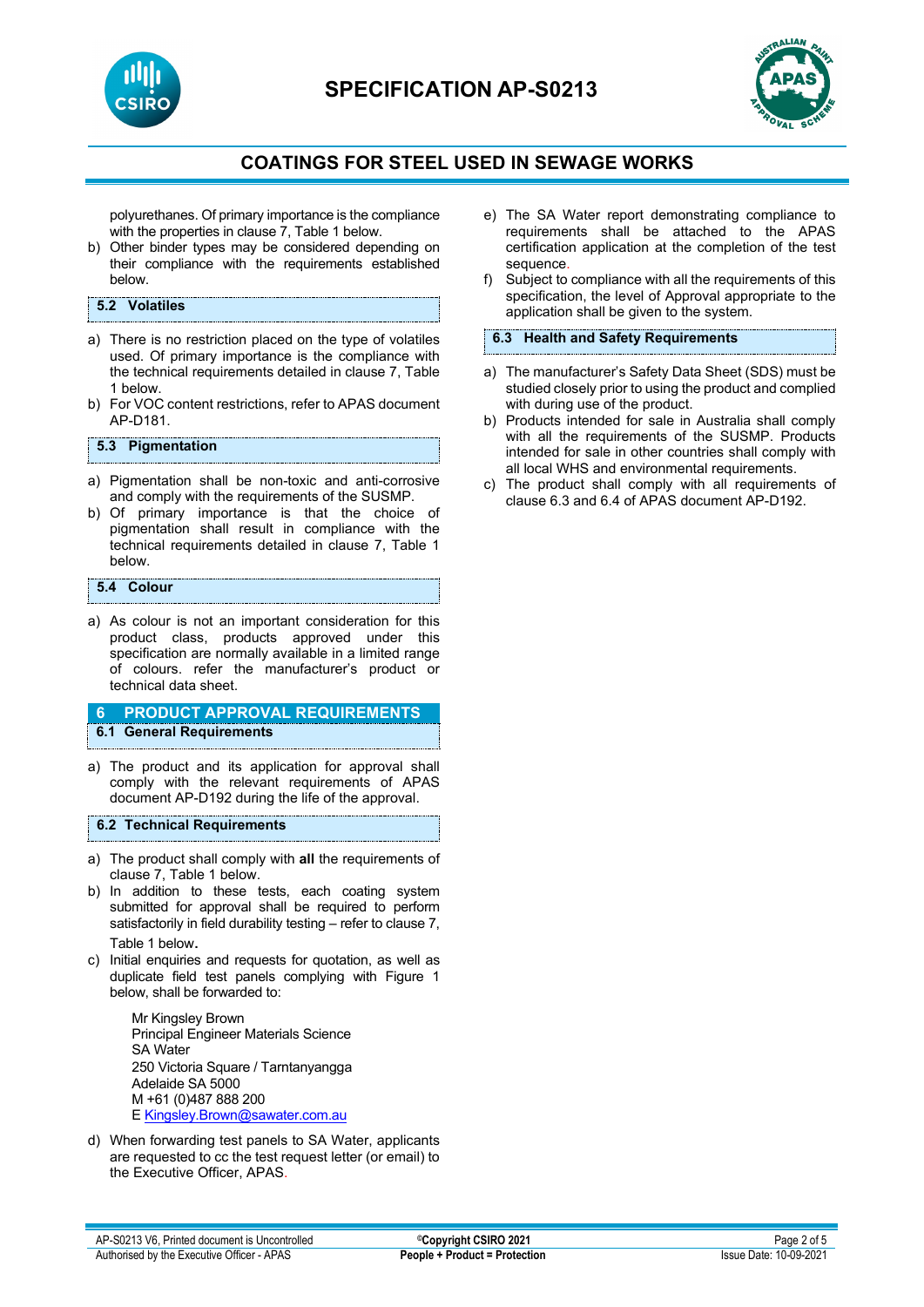

# **SPECIFICATION AP-S0213**



# **COATINGS FOR STEEL USED IN SEWAGE WORKS**

polyurethanes. Of primary importance is the compliance with the properties in clause 7, Table 1 below.

b) Other binder types may be considered depending on their compliance with the requirements established below.

### **5.2 Volatiles**

- a) There is no restriction placed on the type of volatiles used. Of primary importance is the compliance with the technical requirements detailed in clause 7, Table 1 below.
- b) For VOC content restrictions, refer to APAS document AP-D181.

#### **5.3 Pigmentation**

- a) Pigmentation shall be non-toxic and anti-corrosive and comply with the requirements of the SUSMP.
- b) Of primary importance is that the choice of pigmentation shall result in compliance with the technical requirements detailed in clause 7, Table 1 below.

#### **5.4 Colour**

a) As colour is not an important consideration for this product class, products approved under this specification are normally available in a limited range of colours. refer the manufacturer's product or technical data sheet.

### **6 PRODUCT APPROVAL REQUIREMENTS 6.1 General Requirements**

a) The product and its application for approval shall comply with the relevant requirements of APAS document AP-D192 during the life of the approval.

#### **6.2 Technical Requirements**

- a) The product shall comply with **all** the requirements of clause 7, Table 1 below.
- b) In addition to these tests, each coating system submitted for approval shall be required to perform satisfactorily in field durability testing – refer to clause 7, Table 1 below.
- c) Initial enquiries and requests for quotation, as well as duplicate field test panels complying with Figure 1 below, shall be forwarded to:

Mr Kingsley Brown Principal Engineer Materials Science SA Water 250 Victoria Square / Tarntanyangga Adelaide SA 5000 M +61 (0)487 888 200 E [Kingsley.Brown@sawater.com.au](mailto:Kingsley.Brown@sawater.com.au)

d) When forwarding test panels to SA Water, applicants are requested to cc the test request letter (or email) to the Executive Officer, APAS.

- e) The SA Water report demonstrating compliance to requirements shall be attached to the APAS certification application at the completion of the test sequence.
- f) Subject to compliance with all the requirements of this specification, the level of Approval appropriate to the application shall be given to the system.

### **6.3 Health and Safety Requirements**

- a) The manufacturer's Safety Data Sheet (SDS) must be studied closely prior to using the product and complied with during use of the product.
- b) Products intended for sale in Australia shall comply with all the requirements of the SUSMP. Products intended for sale in other countries shall comply with all local WHS and environmental requirements.
- c) The product shall comply with all requirements of clause 6.3 and 6.4 of APAS document AP-D192.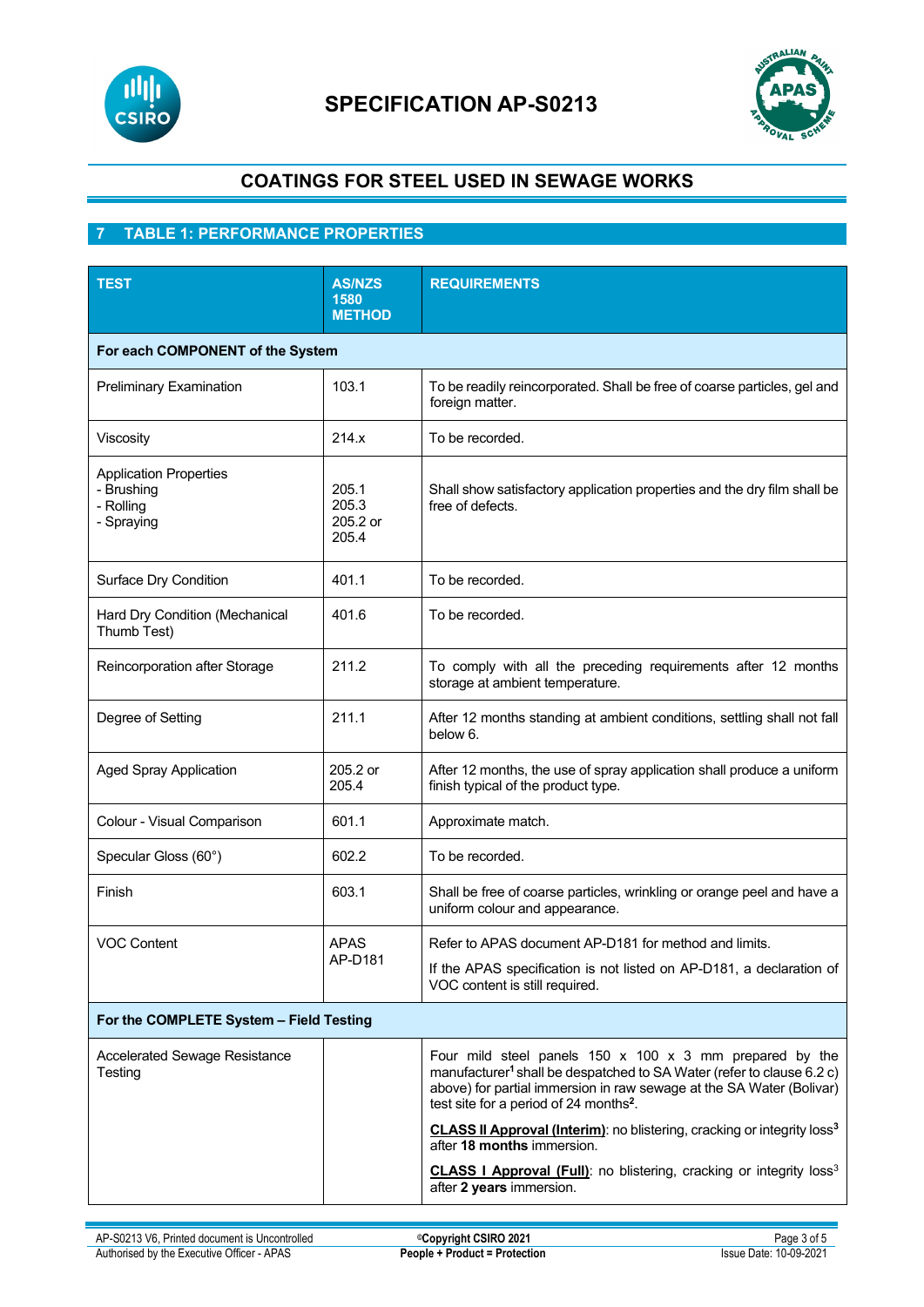

# **SPECIFICATION AP-S0213**



# **COATINGS FOR STEEL USED IN SEWAGE WORKS**

# **7 TABLE 1: PERFORMANCE PROPERTIES**

| <b>TEST</b>                                                            | <b>AS/NZS</b><br>1580<br><b>METHOD</b> | <b>REQUIREMENTS</b>                                                                                                                                                                                                                                                                    |  |
|------------------------------------------------------------------------|----------------------------------------|----------------------------------------------------------------------------------------------------------------------------------------------------------------------------------------------------------------------------------------------------------------------------------------|--|
| For each COMPONENT of the System                                       |                                        |                                                                                                                                                                                                                                                                                        |  |
| <b>Preliminary Examination</b>                                         | 103.1                                  | To be readily reincorporated. Shall be free of coarse particles, gel and<br>foreign matter.                                                                                                                                                                                            |  |
| Viscosity                                                              | 214.x                                  | To be recorded.                                                                                                                                                                                                                                                                        |  |
| <b>Application Properties</b><br>- Brushing<br>- Rolling<br>- Spraying | 205.1<br>205.3<br>205.2 or<br>205.4    | Shall show satisfactory application properties and the dry film shall be<br>free of defects.                                                                                                                                                                                           |  |
| Surface Dry Condition                                                  | 401.1                                  | To be recorded.                                                                                                                                                                                                                                                                        |  |
| Hard Dry Condition (Mechanical<br>Thumb Test)                          | 401.6                                  | To be recorded.                                                                                                                                                                                                                                                                        |  |
| Reincorporation after Storage                                          | 211.2                                  | To comply with all the preceding requirements after 12 months<br>storage at ambient temperature.                                                                                                                                                                                       |  |
| Degree of Setting                                                      | 211.1                                  | After 12 months standing at ambient conditions, settling shall not fall<br>below 6.                                                                                                                                                                                                    |  |
| <b>Aged Spray Application</b>                                          | 205.2 or<br>205.4                      | After 12 months, the use of spray application shall produce a uniform<br>finish typical of the product type.                                                                                                                                                                           |  |
| Colour - Visual Comparison                                             | 601.1                                  | Approximate match.                                                                                                                                                                                                                                                                     |  |
| Specular Gloss (60°)                                                   | 602.2                                  | To be recorded.                                                                                                                                                                                                                                                                        |  |
| Finish                                                                 | 603.1                                  | Shall be free of coarse particles, wrinkling or orange peel and have a<br>uniform colour and appearance.                                                                                                                                                                               |  |
| <b>VOC Content</b>                                                     | <b>APAS</b><br>AP-D181                 | Refer to APAS document AP-D181 for method and limits.                                                                                                                                                                                                                                  |  |
|                                                                        |                                        | If the APAS specification is not listed on AP-D181, a declaration of<br>VOC content is still required.                                                                                                                                                                                 |  |
| For the COMPLETE System - Field Testing                                |                                        |                                                                                                                                                                                                                                                                                        |  |
| <b>Accelerated Sewage Resistance</b><br>Testing                        |                                        | Four mild steel panels $150 \times 100 \times 3$ mm prepared by the<br>manufacturer <sup>1</sup> shall be despatched to SA Water (refer to clause 6.2 c)<br>above) for partial immersion in raw sewage at the SA Water (Bolivar)<br>test site for a period of 24 months <sup>2</sup> . |  |
|                                                                        |                                        | <b>CLASS II Approval (Interim)</b> : no blistering, cracking or integrity loss <sup>3</sup><br>after 18 months immersion.                                                                                                                                                              |  |
|                                                                        |                                        | CLASS I Approval (Full): no blistering, cracking or integrity loss <sup>3</sup><br>after 2 years immersion.                                                                                                                                                                            |  |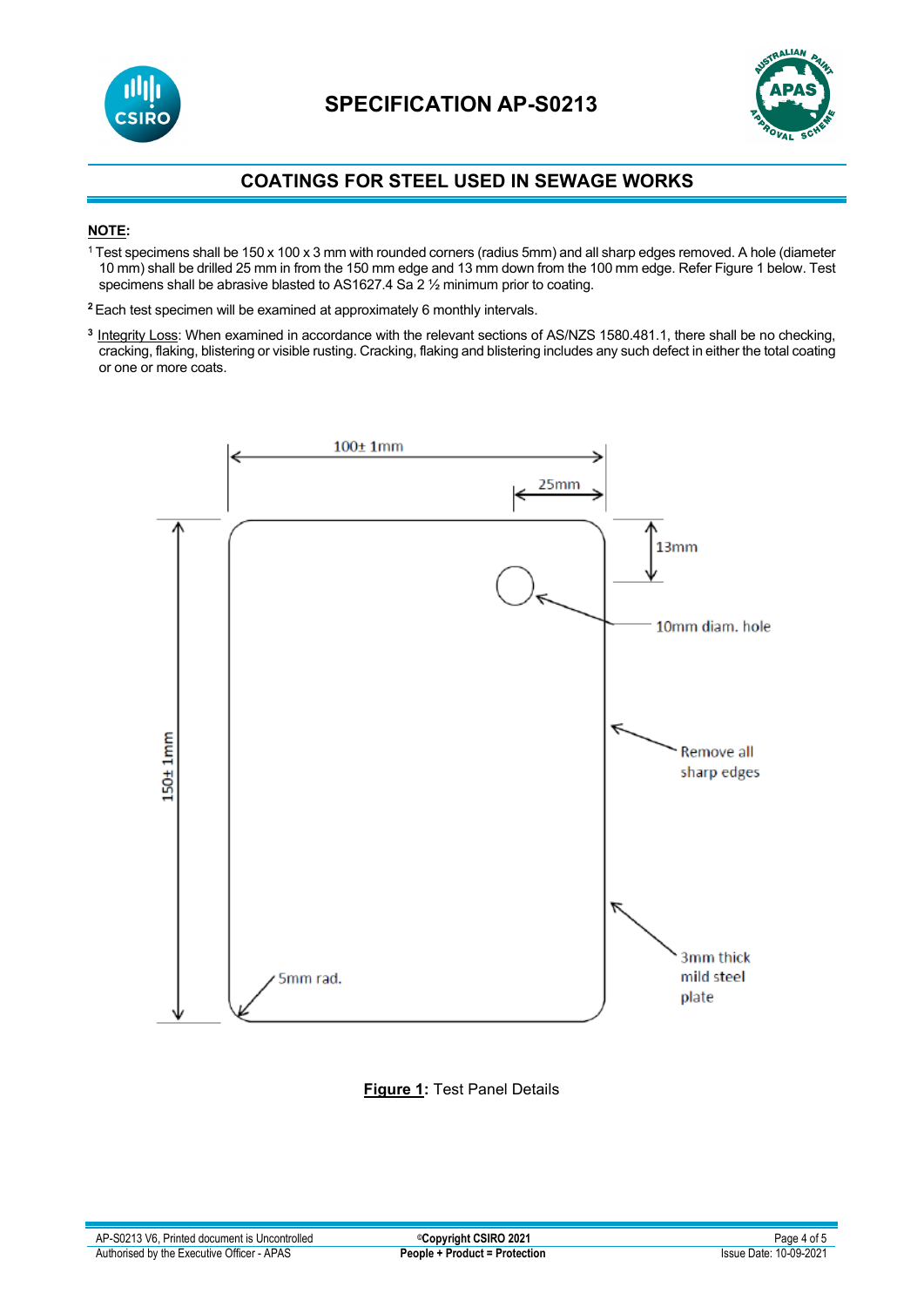



# **COATINGS FOR STEEL USED IN SEWAGE WORKS**

## **NOTE:**

- <sup>1</sup> Test specimens shall be 150 x 100 x 3 mm with rounded corners (radius 5mm) and all sharp edges removed. A hole (diameter 10 mm) shall be drilled 25 mm in from the 150 mm edge and 13 mm down from the 100 mm edge. Refer Figure 1 below. Test specimens shall be abrasive blasted to AS1627.4 Sa 2 1/2 minimum prior to coating.
- **<sup>2</sup>**Each test specimen will be examined at approximately 6 monthly intervals.
- **<sup>3</sup>** Integrity Loss: When examined in accordance with the relevant sections of AS/NZS 1580.481.1, there shall be no checking, cracking, flaking, blistering or visible rusting. Cracking, flaking and blistering includes any such defect in either the total coating or one or more coats.



**Figure 1:** Test Panel Details